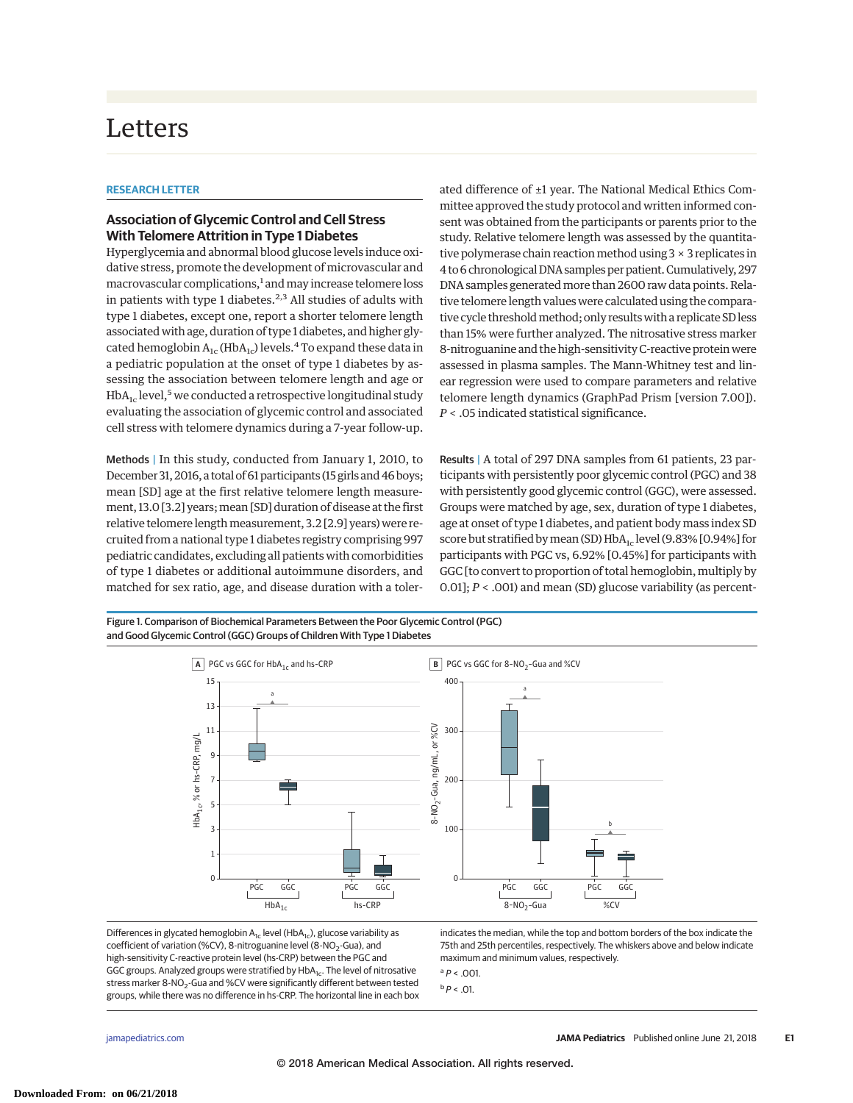## Letters

## **RESEARCH LETTER**

## **Association of Glycemic Control and Cell Stress With Telomere Attrition in Type 1 Diabetes**

Hyperglycemia and abnormal blood glucose levels induce oxidative stress, promote the development of microvascular and macrovascular complications,<sup>1</sup> and may increase telomere loss in patients with type 1 diabetes. $2,3$  All studies of adults with type 1 diabetes, except one, report a shorter telomere length associated with age, duration of type 1 diabetes, and higher glycated hemoglobin  $A_{1c}$  (Hb $A_{1c}$ ) levels.<sup>4</sup> To expand these data in a pediatric population at the onset of type 1 diabetes by assessing the association between telomere length and age or  $HbA_{1c}$  level,<sup>5</sup> we conducted a retrospective longitudinal study evaluating the association of glycemic control and associated cell stress with telomere dynamics during a 7-year follow-up.

Methods | In this study, conducted from January 1, 2010, to December 31, 2016, a total of 61 participants (15 girls and 46 boys; mean [SD] age at the first relative telomere length measurement, 13.0 [3.2] years; mean [SD] duration of disease at the first relative telomere length measurement, 3.2 [2.9] years) were recruited from a national type 1 diabetes registry comprising 997 pediatric candidates, excluding all patients with comorbidities of type 1 diabetes or additional autoimmune disorders, and matched for sex ratio, age, and disease duration with a tolerated difference of ±1 year. The National Medical Ethics Committee approved the study protocol and written informed consent was obtained from the participants or parents prior to the study. Relative telomere length was assessed by the quantitative polymerase chain reaction method using  $3 \times 3$  replicates in 4 to 6 chronological DNA samples per patient.Cumulatively, 297 DNA samples generated more than 2600 raw data points. Relative telomere length values were calculated using the comparative cycle threshold method; only results with a replicate SD less than 15% were further analyzed. The nitrosative stress marker 8-nitroguanine and the high-sensitivity C-reactive protein were assessed in plasma samples. The Mann-Whitney test and linear regression were used to compare parameters and relative telomere length dynamics (GraphPad Prism [version 7.00]). *P* < .05 indicated statistical significance.

Results | A total of 297 DNA samples from 61 patients, 23 participants with persistently poor glycemic control (PGC) and 38 with persistently good glycemic control (GGC), were assessed. Groups were matched by age, sex, duration of type 1 diabetes, age at onset of type 1 diabetes, and patient body mass index SD score but stratified by mean (SD)  $HbA_{1c}$  level (9.83% [0.94%] for participants with PGC vs, 6.92% [0.45%] for participants with GGC [to convert to proportion of total hemoglobin, multiply by 0.01]; *P* < .001) and mean (SD) glucose variability (as percent-

Figure 1. Comparison of Biochemical Parameters Between the Poor Glycemic Control (PGC) and Good Glycemic Control (GGC) Groups of Children With Type 1 Diabetes



Differences in glycated hemoglobin  $A_{1c}$  level (Hb $A_{1c}$ ), glucose variability as coefficient of variation (%CV), 8-nitroguanine level (8-NO<sub>2</sub>-Gua), and high-sensitivity C-reactive protein level (hs-CRP) between the PGC and GGC groups. Analyzed groups were stratified by HbA<sub>1c</sub>. The level of nitrosative stress marker 8-NO<sub>2</sub>-Gua and %CV were significantly different between tested groups, while there was no difference in hs-CRP. The horizontal line in each box indicates the median, while the top and bottom borders of the box indicate the 75th and 25th percentiles, respectively. The whiskers above and below indicate maximum and minimum values, respectively.

 $a$   $P < .001$ .

 $b$   $P$  < .01.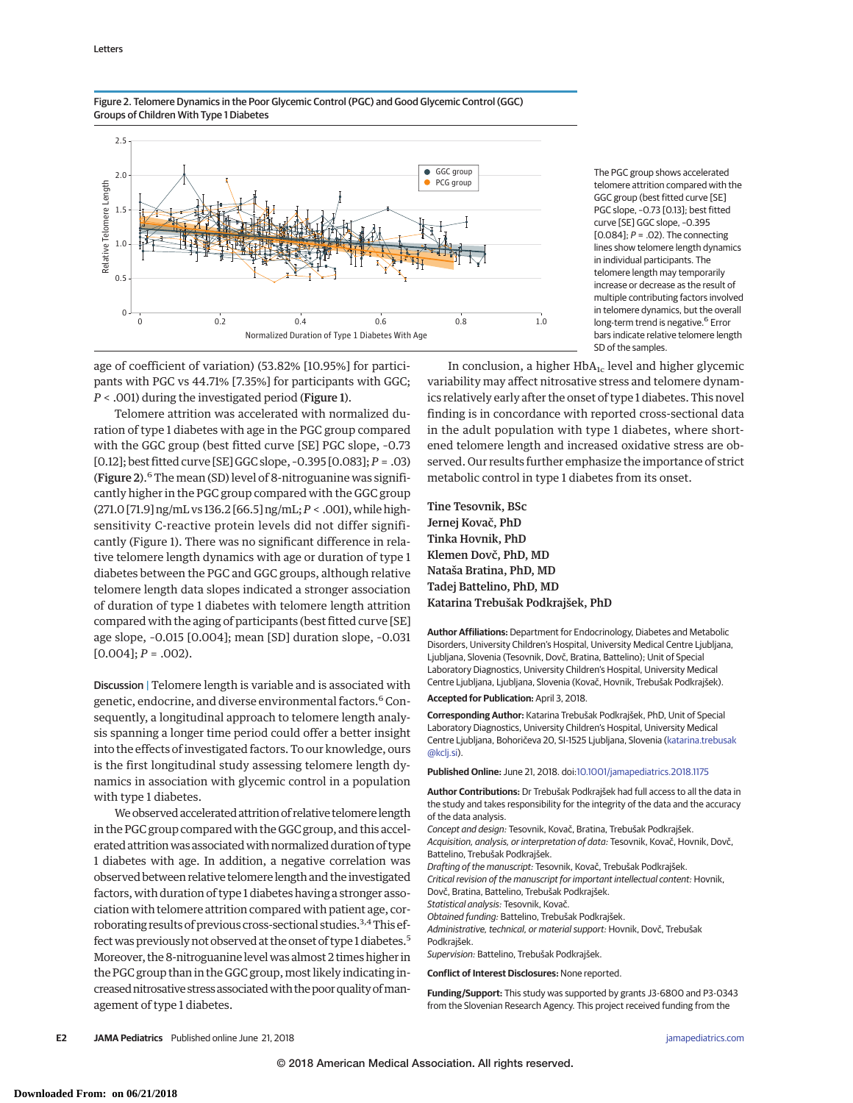

Figure 2. Telomere Dynamics in the Poor Glycemic Control (PGC) and Good Glycemic Control (GGC) Groups of Children With Type 1 Diabetes

> The PGC group shows accelerated telomere attrition compared with the GGC group (best fitted curve [SE] PGC slope, –0.73 [0.13]; best fitted curve [SE] GGC slope, –0.395 [0.084];  $P = .02$ ). The connecting lines show telomere length dynamics in individual participants. The telomere length may temporarily increase or decrease as the result of multiple contributing factors involved in telomere dynamics, but the overall long-term trend is negative.<sup>6</sup> Error bars indicate relative telomere length SD of the samples.

age of coefficient of variation) (53.82% [10.95%] for participants with PGC vs 44.71% [7.35%] for participants with GGC; *P* < .001) during the investigated period (Figure 1).

Telomere attrition was accelerated with normalized duration of type 1 diabetes with age in the PGC group compared with the GGC group (best fitted curve [SE] PGC slope, –0.73 [0.12]; best fitted curve [SE] GGC slope, –0.395 [0.083];*P* = .03) (Figure 2). $^6$  The mean (SD) level of 8-nitroguanine was significantly higher in the PGC group compared with the GGC group (271.0 [71.9] ng/mL vs 136.2 [66.5] ng/mL;*P* < .001), while highsensitivity C-reactive protein levels did not differ significantly (Figure 1). There was no significant difference in relative telomere length dynamics with age or duration of type 1 diabetes between the PGC and GGC groups, although relative telomere length data slopes indicated a stronger association of duration of type 1 diabetes with telomere length attrition compared with the aging of participants (best fitted curve [SE] age slope, –0.015 [0.004]; mean [SD] duration slope, –0.031  $[0.004]$ ;  $P = .002$ ).

Discussion | Telomere length is variable and is associated with genetic, endocrine, and diverse environmental factors.<sup>6</sup> Consequently, a longitudinal approach to telomere length analysis spanning a longer time period could offer a better insight into the effects of investigated factors. To our knowledge, ours is the first longitudinal study assessing telomere length dynamics in association with glycemic control in a population with type 1 diabetes.

We observed accelerated attrition of relative telomere length in the PGC group compared with the GGC group, and this accelerated attrition was associated with normalized duration of type 1 diabetes with age. In addition, a negative correlation was observed between relative telomere length and the investigated factors, with duration of type 1 diabetes having a stronger association with telomere attrition compared with patient age, corroborating results of previous cross-sectional studies.<sup>3,4</sup> This effect was previously not observed at the onset of type 1 diabetes.<sup>5</sup> Moreover, the 8-nitroguanine levelwas almost 2 times higher in the PGC group than in the GGC group, most likely indicating increased nitrosative stress associated with the poor quality of management of type 1 diabetes.

In conclusion, a higher  $HbA_{1c}$  level and higher glycemic variability may affect nitrosative stress and telomere dynamics relatively early after the onset of type 1 diabetes. This novel finding is in concordance with reported cross-sectional data in the adult population with type 1 diabetes, where shortened telomere length and increased oxidative stress are observed. Our results further emphasize the importance of strict metabolic control in type 1 diabetes from its onset.

Tine Tesovnik, BSc Jernej Kovač, PhD Tinka Hovnik, PhD Klemen Dovč, PhD, MD Nataša Bratina, PhD, MD Tadej Battelino, PhD, MD Katarina Trebušak Podkrajšek, PhD

**Author Affiliations:** Department for Endocrinology, Diabetes and Metabolic Disorders, University Children's Hospital, University Medical Centre Ljubljana, Ljubljana, Slovenia (Tesovnik, Dovč, Bratina, Battelino); Unit of Special Laboratory Diagnostics, University Children's Hospital, University Medical Centre Ljubljana, Ljubljana, Slovenia (Kovač, Hovnik, Trebušak Podkrajšek).

**Accepted for Publication:** April 3, 2018.

**Corresponding Author:** Katarina Trebušak Podkrajšek, PhD, Unit of Special Laboratory Diagnostics, University Children's Hospital, University Medical Centre Ljubljana, Bohoričeva 20, SI-1525 Ljubljana, Slovenia [\(katarina.trebusak](mailto:katarina.trebusak@kclj.si) [@kclj.si\)](mailto:katarina.trebusak@kclj.si).

**Published Online:** June 21, 2018. doi[:10.1001/jamapediatrics.2018.1175](https://jama.jamanetwork.com/article.aspx?doi=10.1001/jamapediatrics.2018.1175&utm_campaign=articlePDF%26utm_medium=articlePDFlink%26utm_source=articlePDF%26utm_content=jamapediatrics.2018.1175)

**Author Contributions:** Dr Trebušak Podkrajšek had full access to all the data in the study and takes responsibility for the integrity of the data and the accuracy of the data analysis.

Concept and design: Tesovnik, Kovač, Bratina, Trebušak Podkrajšek. Acquisition, analysis, or interpretation of data: Tesovnik, Kovač, Hovnik, Dovč, Battelino, Trebušak Podkrajšek.

Drafting of the manuscript: Tesovnik, Kovač, Trebušak Podkrajšek.

Critical revision of the manuscript for important intellectual content: Hovnik, Dovč, Bratina, Battelino, Trebušak Podkrajšek.

Statistical analysis: Tesovnik, Kovač.

Obtained funding: Battelino, Trebušak Podkrajšek.

Administrative, technical, or material support: Hovnik, Dovč, Trebušak Podkrajšek.

Supervision: Battelino, Trebušak Podkrajšek.

**Conflict of Interest Disclosures:** None reported.

**Funding/Support:** This study was supported by grants J3-6800 and P3-0343 from the Slovenian Research Agency. This project received funding from the